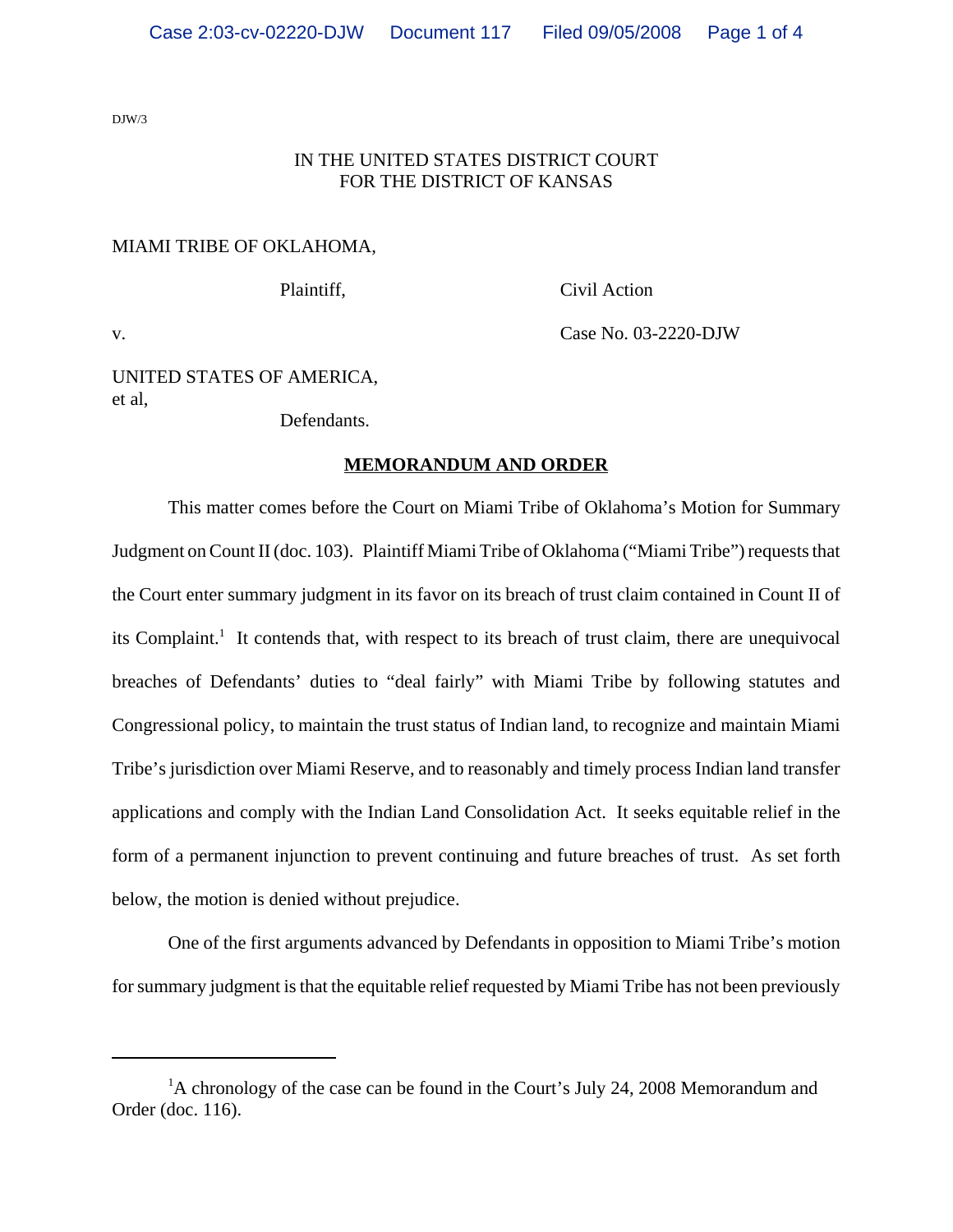DJW/3

## IN THE UNITED STATES DISTRICT COURT FOR THE DISTRICT OF KANSAS

#### MIAMI TRIBE OF OKLAHOMA,

Plaintiff, Civil Action

v. Case No. 03-2220-DJW

## UNITED STATES OF AMERICA, et al,

Defendants.

#### **MEMORANDUM AND ORDER**

This matter comes before the Court on Miami Tribe of Oklahoma's Motion for Summary Judgment on Count II (doc. 103). Plaintiff Miami Tribe of Oklahoma ("Miami Tribe") requests that the Court enter summary judgment in its favor on its breach of trust claim contained in Count II of its Complaint.<sup>1</sup> It contends that, with respect to its breach of trust claim, there are unequivocal breaches of Defendants' duties to "deal fairly" with Miami Tribe by following statutes and Congressional policy, to maintain the trust status of Indian land, to recognize and maintain Miami Tribe's jurisdiction over Miami Reserve, and to reasonably and timely process Indian land transfer applications and comply with the Indian Land Consolidation Act. It seeks equitable relief in the form of a permanent injunction to prevent continuing and future breaches of trust. As set forth below, the motion is denied without prejudice.

One of the first arguments advanced by Defendants in opposition to Miami Tribe's motion for summary judgment is that the equitable relief requested by Miami Tribe has not been previously

<sup>&</sup>lt;sup>1</sup>A chronology of the case can be found in the Court's July 24, 2008 Memorandum and Order (doc. 116).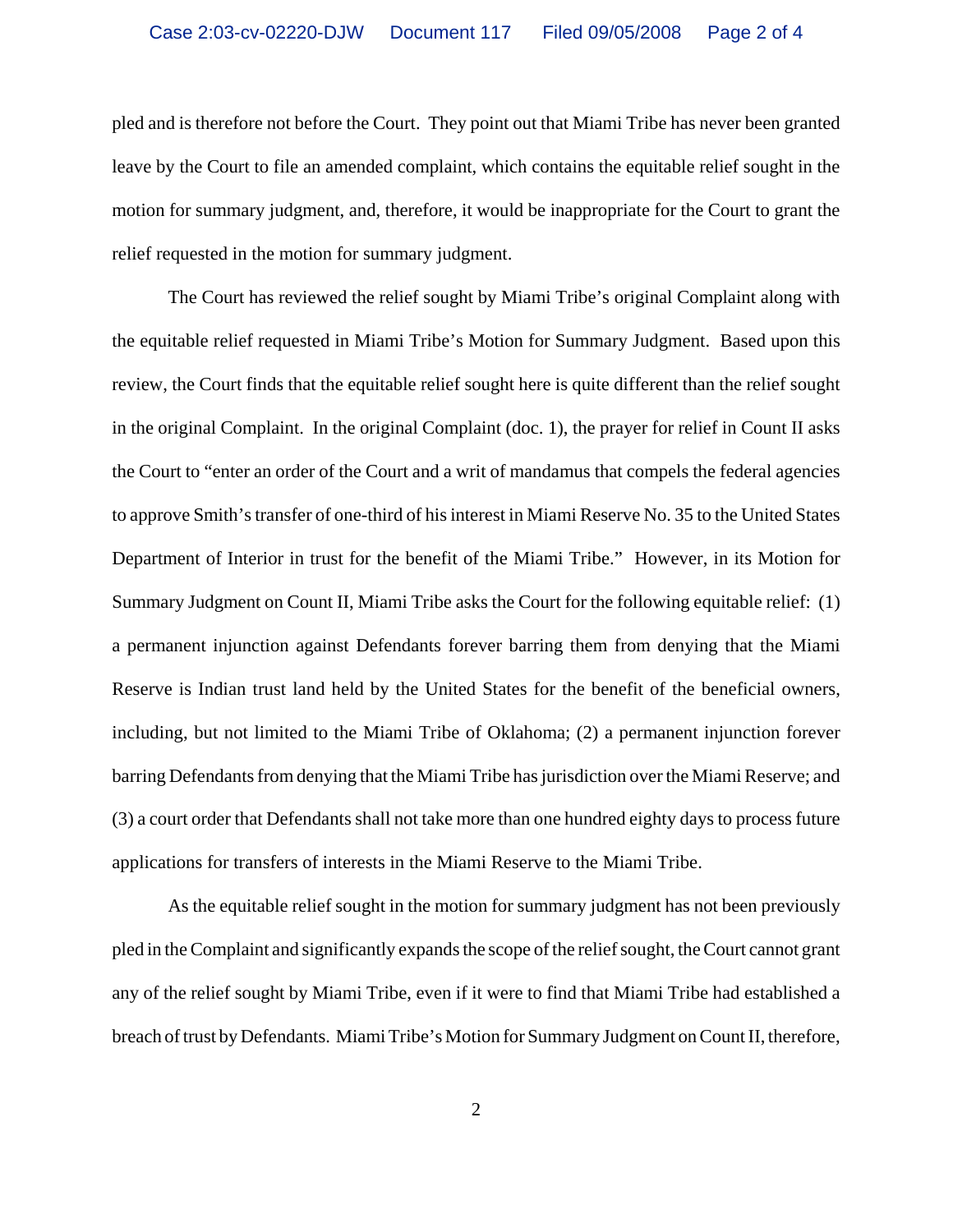pled and is therefore not before the Court. They point out that Miami Tribe has never been granted leave by the Court to file an amended complaint, which contains the equitable relief sought in the motion for summary judgment, and, therefore, it would be inappropriate for the Court to grant the relief requested in the motion for summary judgment.

The Court has reviewed the relief sought by Miami Tribe's original Complaint along with the equitable relief requested in Miami Tribe's Motion for Summary Judgment. Based upon this review, the Court finds that the equitable relief sought here is quite different than the relief sought in the original Complaint. In the original Complaint (doc. 1), the prayer for relief in Count II asks the Court to "enter an order of the Court and a writ of mandamus that compels the federal agencies to approve Smith's transfer of one-third of his interest in Miami Reserve No. 35 to the United States Department of Interior in trust for the benefit of the Miami Tribe." However, in its Motion for Summary Judgment on Count II, Miami Tribe asks the Court for the following equitable relief: (1) a permanent injunction against Defendants forever barring them from denying that the Miami Reserve is Indian trust land held by the United States for the benefit of the beneficial owners, including, but not limited to the Miami Tribe of Oklahoma; (2) a permanent injunction forever barring Defendants from denying that the Miami Tribe has jurisdiction over the Miami Reserve; and (3) a court order that Defendants shall not take more than one hundred eighty days to process future applications for transfers of interests in the Miami Reserve to the Miami Tribe.

As the equitable relief sought in the motion for summary judgment has not been previously pled in the Complaint and significantly expands the scope of the relief sought, the Court cannot grant any of the relief sought by Miami Tribe, even if it were to find that Miami Tribe had established a breach of trust by Defendants. Miami Tribe's Motion for Summary Judgment on Count II, therefore,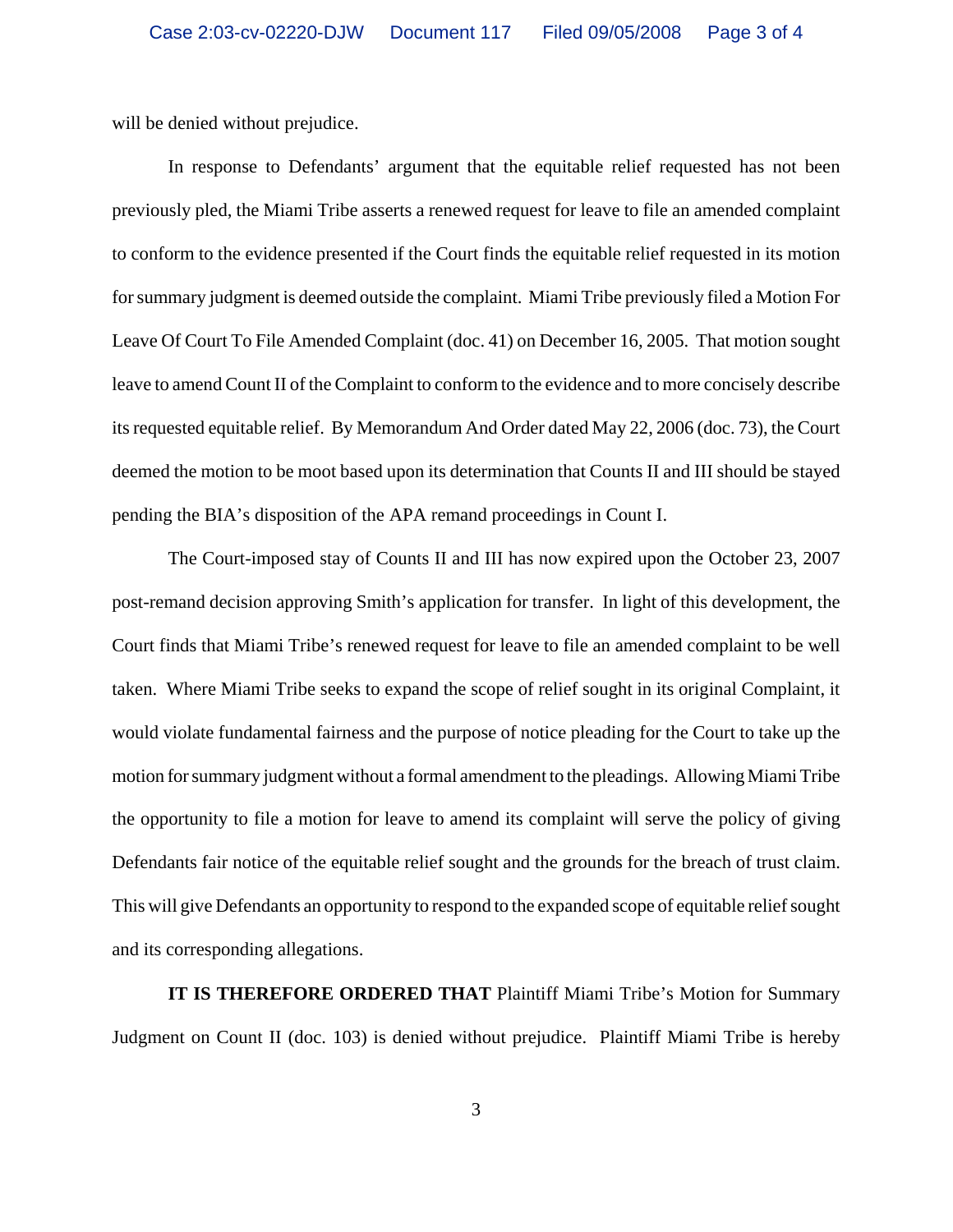will be denied without prejudice.

In response to Defendants' argument that the equitable relief requested has not been previously pled, the Miami Tribe asserts a renewed request for leave to file an amended complaint to conform to the evidence presented if the Court finds the equitable relief requested in its motion for summary judgment is deemed outside the complaint. Miami Tribe previously filed a Motion For Leave Of Court To File Amended Complaint (doc. 41) on December 16, 2005. That motion sought leave to amend Count II of the Complaint to conform to the evidence and to more concisely describe its requested equitable relief. By Memorandum And Order dated May 22, 2006 (doc. 73), the Court deemed the motion to be moot based upon its determination that Counts II and III should be stayed pending the BIA's disposition of the APA remand proceedings in Count I.

The Court-imposed stay of Counts II and III has now expired upon the October 23, 2007 post-remand decision approving Smith's application for transfer. In light of this development, the Court finds that Miami Tribe's renewed request for leave to file an amended complaint to be well taken. Where Miami Tribe seeks to expand the scope of relief sought in its original Complaint, it would violate fundamental fairness and the purpose of notice pleading for the Court to take up the motion for summary judgment without a formal amendment to the pleadings. Allowing Miami Tribe the opportunity to file a motion for leave to amend its complaint will serve the policy of giving Defendants fair notice of the equitable relief sought and the grounds for the breach of trust claim. This will give Defendants an opportunity to respond to the expanded scope of equitable relief sought and its corresponding allegations.

**IT IS THEREFORE ORDERED THAT** Plaintiff Miami Tribe's Motion for Summary Judgment on Count II (doc. 103) is denied without prejudice. Plaintiff Miami Tribe is hereby